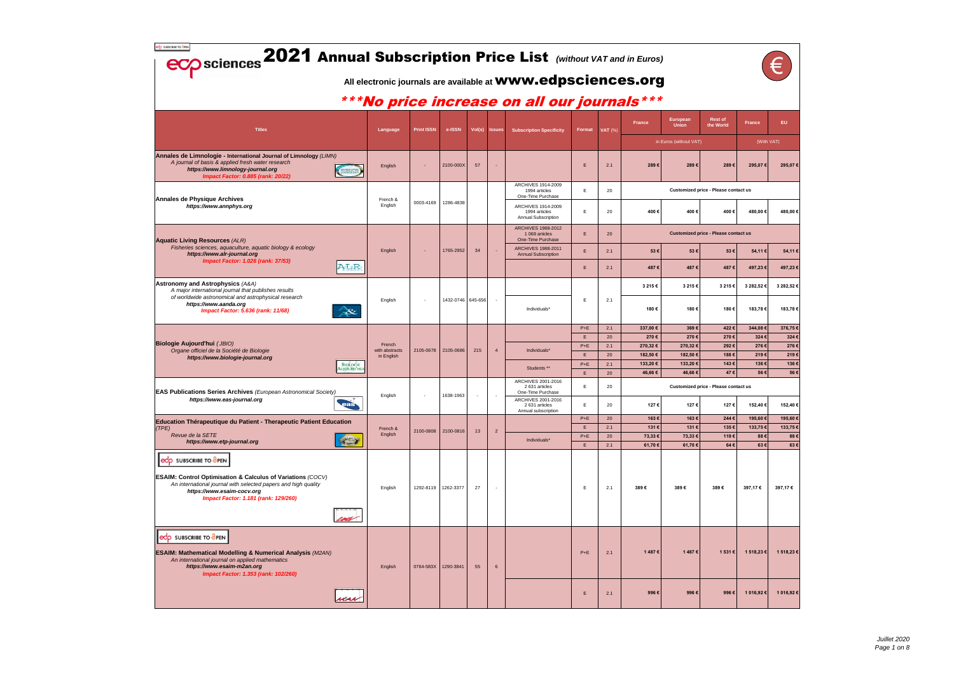| edo subscribe to dren<br><b>ECO</b> sciences 2021 Annual Subscription Price List (Without VAT and in Euros)                                                                                                                             |                                       |                              |                   |                     |     |                | All electronic journals are available at <b>WWW.edpsciences.org</b> |               |                    |                                                                  |                          |                                             |                    |                     |
|-----------------------------------------------------------------------------------------------------------------------------------------------------------------------------------------------------------------------------------------|---------------------------------------|------------------------------|-------------------|---------------------|-----|----------------|---------------------------------------------------------------------|---------------|--------------------|------------------------------------------------------------------|--------------------------|---------------------------------------------|--------------------|---------------------|
|                                                                                                                                                                                                                                         |                                       |                              |                   |                     |     |                | ***No price increase on all our journals***                         |               |                    |                                                                  |                          |                                             |                    |                     |
| <b>Titles</b>                                                                                                                                                                                                                           |                                       | Language                     | <b>Print ISSN</b> | e-ISSN              |     | Vol(s) Issues  | <b>Subscription Specificity</b>                                     | Format        | $\mathsf{VAT}$ (%) | <b>France</b>                                                    | European<br><b>Union</b> | <b>Rest of</b><br>the World                 | <b>France</b>      | EU.                 |
|                                                                                                                                                                                                                                         |                                       |                              |                   |                     |     |                |                                                                     |               |                    |                                                                  | in Euros (without VAT)   |                                             | (With VAT)         |                     |
| Annales de Limnologie - International Journal of Limnology (LIMN)<br>A journal of basis & applied fresh water research<br>https://www.limnology-journal.org<br>Impact Factor: 0.885 (rank: 20/22)                                       |                                       | English                      |                   | 2100-000X           | 57  |                |                                                                     | Е             | 2.1                | 289€                                                             | 289€                     | 289€                                        | 295,07€            | 295,07€             |
| Annales de Physique Archives                                                                                                                                                                                                            |                                       | French &                     | 0003-4169         | 1286-4838           |     |                | ARCHIVES 1914-2009<br>1994 articles<br>One-Time Purchase            | E             | 20                 |                                                                  |                          | <b>Customized price - Please contact us</b> |                    |                     |
| https://www.annphys.org                                                                                                                                                                                                                 |                                       | English                      |                   |                     |     |                | ARCHIVES 1914-2009<br>1994 articles<br>Annual Subscription          | E             | 20                 | 400€                                                             | 400€                     | 400€                                        | 480,00€            | 480,00 €            |
| <b>Aquatic Living Resources (ALR)</b>                                                                                                                                                                                                   |                                       |                              |                   |                     |     |                | <b>ARCHIVES 1988-2012</b><br>1 068 articles<br>One-Time Purchase    | E.            | 20                 |                                                                  |                          | <b>Customized price - Please contact us</b> |                    |                     |
| Fisheries sciences, aquaculture, aquatic biology & ecology<br>https://www.alr-journal.org                                                                                                                                               |                                       | English                      |                   | 1765-2952           | 34  | ×.             | <b>ARCHIVES 1988-2011</b><br><b>Annual Subscription</b>             | E.            | 2.1                | 53€                                                              | 53€                      | 53€                                         | 54,11€             | 54,11 €             |
| <b>Impact Factor: 1.026 (rank: 37/53)</b>                                                                                                                                                                                               | ALR                                   |                              |                   |                     |     |                |                                                                     | E.            | 2.1                | 487€                                                             | 487€                     | 487€                                        | 497,23€            | 497,23€             |
| Astronomy and Astrophysics (A&A)<br>A major international journal that publishes results                                                                                                                                                |                                       |                              |                   |                     |     |                |                                                                     |               |                    | 3 215 €                                                          | 3 215 €                  | 3 215€                                      | 3 282,52 €         | 3 282,52 €          |
| of worldwide astronomical and astrophysical research<br>https://www.aanda.org<br>Impact Factor: 5.636 (rank: 11/68)                                                                                                                     | A&                                    | English                      |                   | 1432-0746 645-656   |     | $\sim$         | Individuals*                                                        | Е             | 2.1                | 180€                                                             | 180€                     | 180€                                        | 183,78€            | 183,78€             |
|                                                                                                                                                                                                                                         |                                       |                              |                   |                     |     |                |                                                                     | $P+E$         | 2.1                | 337,00 €                                                         | 369€                     | 422€                                        | 344,08€            | 376,75€             |
| Biologie Aujourd'hui (JBIO)                                                                                                                                                                                                             |                                       | French                       |                   |                     |     |                |                                                                     | E<br>$P+E$    | 20<br>2.1          | 270€<br>270,32€                                                  | 270€<br>270,32€          | 270€<br>292€                                | 324€<br>276€       | 324€<br>276€        |
| Organe officiel de la Société de Biologie<br>https://www.biologie-journal.org                                                                                                                                                           |                                       | with abstracts<br>in English | 2105-0678         | 2105-0686           | 215 | $\overline{4}$ | Individuals*                                                        | E.            | 20                 | 182,50€                                                          | 182,50€                  | 188€                                        | 219€               | 219€                |
|                                                                                                                                                                                                                                         | <b>BIOLOGIE</b><br><b>AUJOURD'HUI</b> |                              |                   |                     |     |                | Students **                                                         | $P + E$       | 2.1                | 133,20€                                                          | 133,20€                  | 143€                                        | 136€               | 136€                |
| <b>EAS Publications Series Archives</b> (European Astronomical Society)                                                                                                                                                                 |                                       | English                      |                   | 1638-1963           |     |                | ARCHIVES 2001-2016<br>2 631 articles<br>One-Time Purchase           | E.<br>Е       | 20<br>20           | 46,66€<br>46,66 €<br>47€<br>Customized price - Please contact us |                          |                                             | 56€<br>56€         |                     |
| https://www.eas-journal.org                                                                                                                                                                                                             | $\rightarrow$<br>eas.                 |                              |                   |                     |     |                | ARCHIVES 2001-2016<br>2 631 articles<br>Annual subscription         | Е             | 20                 | 127€                                                             | 127€                     | 127€                                        | 152,40 €           | 152,40 €            |
| Education Thérapeutique du Patient - Therapeutic Patient Education                                                                                                                                                                      |                                       |                              |                   |                     |     |                |                                                                     | $P + E$<br>E. | 20<br>2.1          | 163€<br>131€                                                     | 163€<br>131€             | 244€<br>135€                                | 195,60€<br>133,75€ | 195,60 €<br>133,75€ |
| (TPE)<br>Revue de la SETE                                                                                                                                                                                                               |                                       | French &<br>English          | 2100-0808         | 2100-0816           | 13  | $\overline{2}$ |                                                                     | $P+E$         | 20                 | 73,33 €                                                          | 73,33 €                  | 119€                                        | 88€                | 88€                 |
| https://www.etp-journal.org                                                                                                                                                                                                             | 学习                                    |                              |                   |                     |     |                | Individuals*                                                        | E.            | 2.1                | 61,70€                                                           | 61,70 €                  | 64€                                         | 63€                | 63€                 |
| edp SUBSCRIBE TO OPEN<br><b>ESAIM: Control Optimisation &amp; Calculus of Variations (COCV)</b><br>An international journal with selected papers and high quality<br>https://www.esaim-cocv.org<br>Impact Factor: 1.181 (rank: 129/260) |                                       | English                      |                   | 1292-8119 1262-3377 | 27  | $\sim$         |                                                                     | E             | 2.1                | 389€                                                             | 389€                     | 389€                                        | 397,17€            | 397,17€             |
| edp SUBSCRIBE TO OPEN<br><b>ESAIM: Mathematical Modelling &amp; Numerical Analysis (M2AN)</b><br>An international journal on applied mathematics<br>https://www.esaim-m2an.org<br>Impact Factor: 1.353 (rank: 102/260)                  |                                       | English                      | 0764-583X         | 1290-3841           | 55  | $6\phantom{1}$ |                                                                     | $P+E$         | 2.1                | 1487€                                                            | 1487€                    | 1 531 €                                     | 1 518,23 €         | 1 518,23 €          |
|                                                                                                                                                                                                                                         | nas                                   |                              |                   |                     |     |                |                                                                     | E             | 2.1                | 996€                                                             | 996€                     | 996€                                        | 1 016,92 €         | 1 016,92 €          |

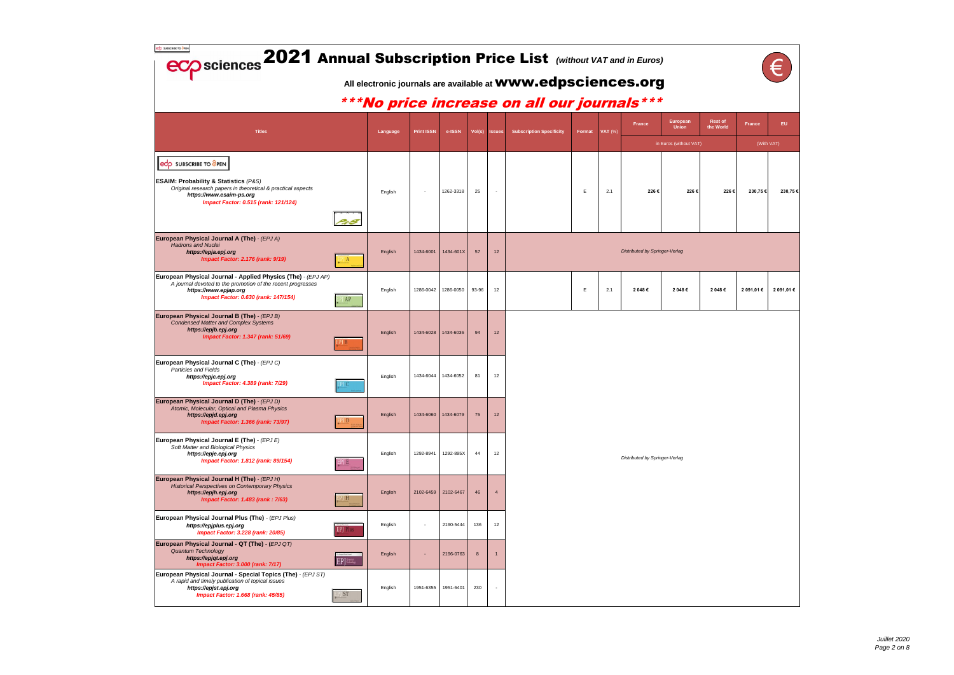| edp SUBSCRIBE TO GPEN                                                                                                                                                                                            | <b>ECO</b> sciences 2021 Annual Subscription Price List (Without VAT and in Euros)<br>All electronic journals are available at <b>WWW.edpsciences.org</b> |          |            |                     |       |                          |                                               |        |           |                                       |                                                    |                      |               |                   |
|------------------------------------------------------------------------------------------------------------------------------------------------------------------------------------------------------------------|-----------------------------------------------------------------------------------------------------------------------------------------------------------|----------|------------|---------------------|-------|--------------------------|-----------------------------------------------|--------|-----------|---------------------------------------|----------------------------------------------------|----------------------|---------------|-------------------|
|                                                                                                                                                                                                                  |                                                                                                                                                           |          |            |                     |       |                          | *** No price increase on all our journals *** |        |           |                                       |                                                    |                      |               |                   |
| <b>Titles</b>                                                                                                                                                                                                    |                                                                                                                                                           | Language | Print ISSN | e-ISSN              |       | Vol(s) Issues            | <b>Subscription Specificity</b>               | Format | VAT $(%)$ | France                                | European<br><b>Union</b><br>in Euros (without VAT) | Rest of<br>the World | <b>France</b> | EU.<br>(With VAT) |
| edp SUBSCRIBE TO OPEN<br><b>ESAIM: Probability &amp; Statistics (P&amp;S)</b><br>Original research papers in theoretical & practical aspects<br>https://www.esaim-ps.org<br>Impact Factor: 0.515 (rank: 121/124) |                                                                                                                                                           | English  | $\sim$     | 1262-3318           | 25    |                          |                                               | E      | 2.1       | 226€                                  | 226€                                               | 226€                 | 230,75€       | 230,75€           |
| European Physical Journal A (The) - (EPJ A)<br><b>Hadrons and Nuclei</b><br>https://epja.epj.org<br><b>Impact Factor: 2.176 (rank: 9/19)</b>                                                                     | $\mathbf{A}$                                                                                                                                              | English  | 1434-6001  | 1434-601X           | 57    | 12                       |                                               |        |           | <b>Distributed by Springer-Verlag</b> |                                                    |                      |               |                   |
| European Physical Journal - Applied Physics (The) - (EPJ AP)<br>A journal devoted to the promotion of the recent progresses<br>https://www.epjap.org<br>Impact Factor: 0.630 (rank: 147/154)                     | PJ AP                                                                                                                                                     | English  | 1286-0042  | 1286-0050           | 93-96 | 12                       |                                               | Е      | 2.1       | 2 048 €                               | 2 048 €                                            | 2 048€               | 2 091,01 €    | 2 091,01 €        |
| European Physical Journal B (The) - (EPJ B)<br><b>Condensed Matter and Complex Systems</b><br>https://epjb.epj.org<br>Impact Factor: 1.347 (rank: 51/69)                                                         | ŊВ                                                                                                                                                        | English  | 1434-6028  | 1434-6036           | 94    | 12                       |                                               |        |           |                                       |                                                    |                      |               |                   |
| European Physical Journal C (The) - (EPJ C)<br>Particles and Fields<br>https://epjc.epj.org<br><b>Impact Factor: 4.389 (rank: 7/29)</b>                                                                          |                                                                                                                                                           | English  | 1434-6044  | 1434-6052           | 81    | 12                       |                                               |        |           |                                       |                                                    |                      |               |                   |
| European Physical Journal D (The) - (EPJ D)<br>Atomic, Molecular, Optical and Plasma Physics<br>https://epjd.epj.org<br><b>Impact Factor: 1.366 (rank: 73/97)</b>                                                | $\overline{D}$                                                                                                                                            | English  | 1434-6060  | 1434-6079           | 75    | 12                       |                                               |        |           |                                       |                                                    |                      |               |                   |
| European Physical Journal E (The) - (EPJ E)<br>Soft Matter and Biological Physics<br>https://epje.epj.org<br><b>Impact Factor: 1.812 (rank: 89/154)</b>                                                          | PJ B.                                                                                                                                                     | English  | 1292-8941  | 1292-895X           | 44    | 12                       |                                               |        |           | Distributed by Springer-Verlag        |                                                    |                      |               |                   |
| European Physical Journal H (The) - (EPJ H)<br><b>Historical Perspectives on Contemporary Physics</b><br>https://epjh.epj.org<br><b>Impact Factor: 1.483 (rank: 7/63)</b>                                        | PJH                                                                                                                                                       | English  |            | 2102-6459 2102-6467 | 46    |                          |                                               |        |           |                                       |                                                    |                      |               |                   |
| European Physical Journal Plus (The) - (EPJ Plus)<br>https://epjplus.epj.org<br>Impact Factor: 3.228 (rank: 20/85)                                                                                               | EPJ Plus                                                                                                                                                  | English  | $\sim$     | 2190-5444           | 136   | 12                       |                                               |        |           |                                       |                                                    |                      |               |                   |
| European Physical Journal - QT (The) - (EPJ QT)<br><b>Quantum Technology</b><br>https://epjqt.epj.org<br><b>Impact Factor: 3.000 (rank: 7/17)</b>                                                                | EPJ Trailer                                                                                                                                               | English  | Ξ          | 2196-0763           | 8     |                          |                                               |        |           |                                       |                                                    |                      |               |                   |
| European Physical Journal - Special Topics (The) - (EPJ ST)<br>A rapid and timely publication of topical issues<br>https://epjst.epj.org<br>Impact Factor: 1.668 (rank: 45/85)                                   | ST                                                                                                                                                        | English  | 1951-6355  | 1951-6401           | 230   | $\overline{\phantom{a}}$ |                                               |        |           |                                       |                                                    |                      |               |                   |

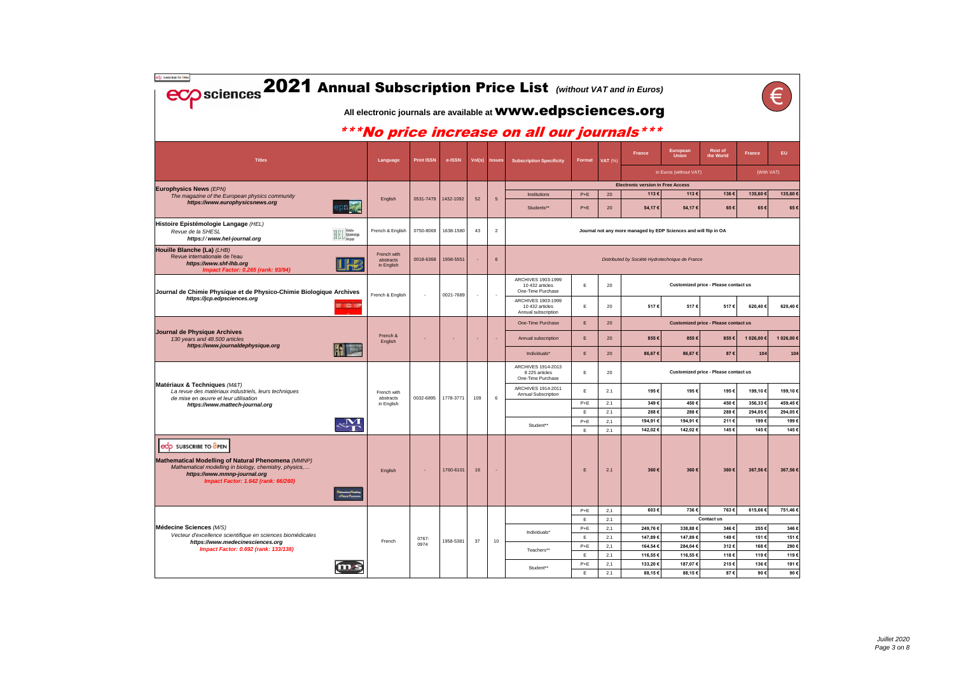| edp SUBSCRIBE TO BPEN<br><b>ECO</b> sciences 2021 Annual Subscription Price List (Without VAT and in Euros)                                                                                                                                                              |                                        |                   |           |        |                | All electronic journals are available at <b>WWW.edpsciences.org</b> |                |                                            |                                          |                                                                  |                                             |                |                 |      |
|--------------------------------------------------------------------------------------------------------------------------------------------------------------------------------------------------------------------------------------------------------------------------|----------------------------------------|-------------------|-----------|--------|----------------|---------------------------------------------------------------------|----------------|--------------------------------------------|------------------------------------------|------------------------------------------------------------------|---------------------------------------------|----------------|-----------------|------|
|                                                                                                                                                                                                                                                                          |                                        |                   |           |        |                | *** No price increase on all our journals ***                       |                |                                            |                                          |                                                                  |                                             |                |                 |      |
| <b>Titles</b>                                                                                                                                                                                                                                                            | Language                               | <b>Print ISSN</b> | e-ISSN    | Vol(s) | <b>Issues</b>  | <b>Subscription Specificity</b>                                     | Format         | <b>VAT (%)</b>                             | France                                   | European<br><b>Union</b>                                         | <b>Rest of</b><br>the World                 | <b>France</b>  | EU.             |      |
|                                                                                                                                                                                                                                                                          |                                        |                   |           |        |                |                                                                     |                |                                            |                                          | in Euros (without VAT)                                           |                                             | (With VAT)     |                 |      |
| <b>Europhysics News (EPN)</b>                                                                                                                                                                                                                                            |                                        |                   |           |        |                |                                                                     |                |                                            | <b>Electronic version in Free Access</b> |                                                                  |                                             |                |                 |      |
| The magazine of the European physics community<br>https://www.europhysicsnews.org                                                                                                                                                                                        | English                                | 0531-7479         | 1432-1092 | 52     | 5              | Institutions<br>Students**                                          | $P+E$<br>$P+E$ | 20<br>20                                   | 113€<br>54,17€                           | 113€<br>54,17€                                                   | 136€<br>65€                                 | 135,60€<br>65€ | 135,60 €<br>65€ |      |
| Histoire Epistémologie Langage (HEL)<br>Revue de la SHESL<br>$\textbf{HEL}^{\texttt{Historie}}_{\texttt{Langage}}$<br>https://www.hel-journal.org                                                                                                                        | French & English                       | 0750-8069         | 1638-1580 | 43     | $\overline{2}$ |                                                                     |                |                                            |                                          | Journal not any more managed by EDP Sciences and will flip in OA |                                             |                |                 |      |
| Houille Blanche (La) (LHB)<br>Revue internationale de l'eau<br>https://www.shf-lhb.org<br>Impact Factor: 0.265 (rank: 93/94)                                                                                                                                             | French with<br>abstracts<br>in English | 0018-6368         | 1958-5551 |        | 6              |                                                                     |                |                                            |                                          | Distributed by Société Hydrotechnique de France                  |                                             |                |                 |      |
| Journal de Chimie Physique et de Physico-Chimie Biologique Archives                                                                                                                                                                                                      | French & English                       | $\sim$            | 0021-7689 | $\sim$ | $\sim$         | ARCHIVES 1903-1999<br>10 432 articles<br>One-Time Purchase          | Е              | 20                                         |                                          |                                                                  | Customized price - Please contact us        |                |                 |      |
| https://jcp.edpsciences.org<br>wa wa                                                                                                                                                                                                                                     |                                        |                   |           |        |                | ARCHIVES 1903-1999<br>10 432 articles<br>Annual subscription        | Е              | 20                                         | 517€                                     | 517€                                                             | 517€                                        | 620,40€        | 620,40€         |      |
|                                                                                                                                                                                                                                                                          |                                        |                   |           |        |                | One-Time Purchase                                                   | E              | 20                                         |                                          |                                                                  | <b>Customized price - Please contact us</b> |                |                 |      |
| Journal de Physique Archives<br>130 years and 48.500 articles<br>https://www.journaldephysique.org                                                                                                                                                                       | French &<br>English                    |                   |           |        |                | Annual subscription                                                 | E              | 20                                         | 855€                                     | 855€                                                             | 855€                                        | 1 026,00 €     | 1 026,00 €      |      |
|                                                                                                                                                                                                                                                                          |                                        |                   |           |        |                | Individuals*                                                        | E              | 20                                         | 86,67€                                   | 86,67€                                                           | 87€                                         | 104            | 104             |      |
|                                                                                                                                                                                                                                                                          |                                        |                   |           |        |                | ARCHIVES 1914-2013<br>8 225 articles<br>One-Time Purchase           | Е              | Customized price - Please contact us<br>20 |                                          |                                                                  |                                             |                |                 |      |
| Matériaux & Techniques (M&T)<br>La revue des matériaux industriels, leurs techniques                                                                                                                                                                                     | French with                            |                   |           |        |                | ARCHIVES 1914-2011<br><b>Annual Subscription</b>                    | Е              | 2.1                                        | 195€                                     | 195€                                                             | 195€                                        | 199,10€        | 199,10€         |      |
| de mise en œuvre et leur utilisation<br>https://www.mattech-journal.org                                                                                                                                                                                                  | abstracts<br>in English                | 0032-6895         | 1778-3771 | 109    | 6              |                                                                     | $P+E$          | 2.1                                        | 349€                                     | 450€                                                             | 450€                                        | 356,33€        | 459,45€         |      |
|                                                                                                                                                                                                                                                                          |                                        |                   |           |        |                |                                                                     | E.             | 2.1                                        | 288€                                     | 288€                                                             | 288€                                        | 294,05€        | 294,05€         |      |
|                                                                                                                                                                                                                                                                          |                                        |                   |           |        |                | Student**                                                           | $P+E$          | 2,1                                        | 194,91€                                  | 194,91€                                                          | 211€                                        | 199€           | 199€            |      |
|                                                                                                                                                                                                                                                                          |                                        |                   |           |        |                |                                                                     | Е              | 2.1                                        | 142,02€                                  | 142,02€                                                          | 145€                                        | 145€           | 145             |      |
| edp SUBSCRIBE TO OPEN<br>Mathematical Modelling of Natural Phenomena (MMNP)<br>Mathematical modelling in biology, chemistry, physics,<br>https://www.mmnp-journal.org<br>Impact Factor: 1.642 (rank: 66/260)<br>Mathematical Modelli<br>of <mark>N</mark> atural Phenome | English                                | $\sim$            | 1760-6101 | 16     |                |                                                                     | E              | 2.1                                        | 360€                                     | 360€                                                             | 360€                                        | 367,56€        | 367,56€         |      |
|                                                                                                                                                                                                                                                                          |                                        |                   |           |        |                |                                                                     | $P+E$          | 2,1                                        | 603€                                     | 736€                                                             | 763€                                        | 615,66€        | 751,46€         |      |
| Médecine Sciences (M/S)                                                                                                                                                                                                                                                  |                                        |                   |           |        |                |                                                                     | E<br>$P+E$     | 2.1<br>2,1                                 | 249,76€                                  | 338,88€                                                          | Contact us<br>346€                          | 255€           | 346€            |      |
| Vecteur d'excellence scientifique en sciences biomédicales                                                                                                                                                                                                               |                                        | 0767-             |           |        |                | Individuals*                                                        | E              | 2.1                                        | 147,89€                                  | 147,89€                                                          | 149€                                        | 151€           | 151€            |      |
| https://www.medecinesciences.org<br>Impact Factor: 0.692 (rank: 133/138)                                                                                                                                                                                                 | French                                 | 0974              | 1958-5381 | 37     |                | 10                                                                  |                | $P+E$                                      | 2,1                                      | 164,54€                                                          | 284,04€                                     | 312€           | 168€            | 290€ |
|                                                                                                                                                                                                                                                                          |                                        |                   |           |        |                |                                                                     |                | Teachers**                                 | E                                        | 2.1                                                              | 116,55€                                     | 116,55€        | 118€            | 119€ |
|                                                                                                                                                                                                                                                                          |                                        |                   |           |        |                | Student**                                                           | $P+E$          | 2,1                                        | 133,20€                                  | 187,07€                                                          | 215€                                        | 136€           | 191€            |      |
|                                                                                                                                                                                                                                                                          |                                        |                   |           |        |                |                                                                     | E.             | 2.1                                        | 88,15€                                   | 88,15€                                                           | 87€                                         | 90€            | 90€             |      |

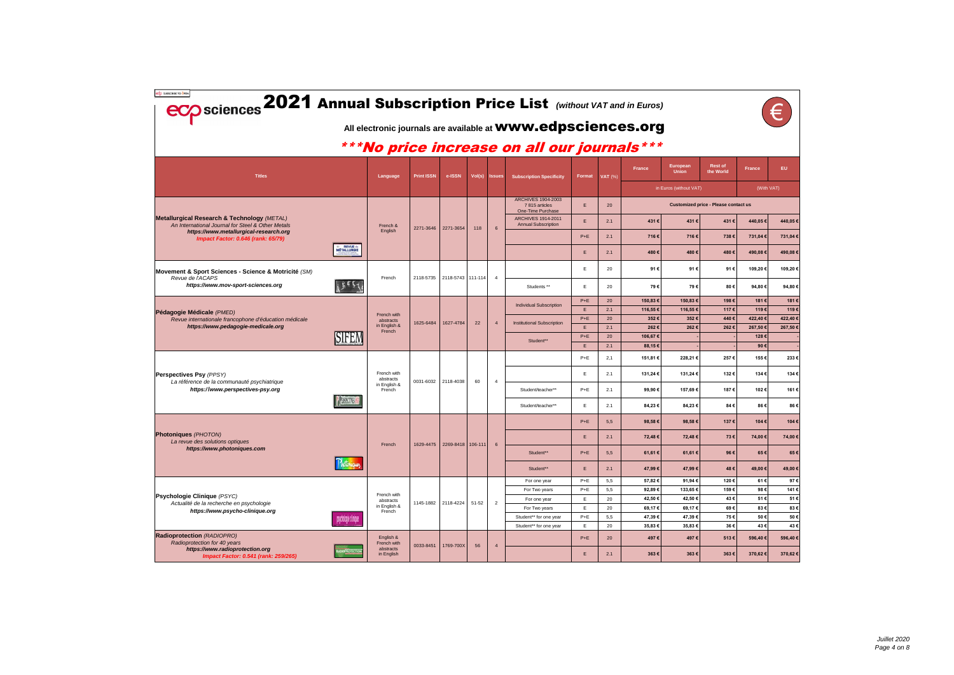| edp SUBSCRIBE TO GPEN<br><b>ECO</b> sciences 2021 Annual Subscription Price List (Without VAT and in Euros) |                           |                                        |                   |                                 |           |                 | All electronic journals are available at <b>WWW.edpsciences.org</b> |                        |           |                   |                          |                                             |                |                |
|-------------------------------------------------------------------------------------------------------------|---------------------------|----------------------------------------|-------------------|---------------------------------|-----------|-----------------|---------------------------------------------------------------------|------------------------|-----------|-------------------|--------------------------|---------------------------------------------|----------------|----------------|
|                                                                                                             |                           |                                        |                   |                                 |           |                 | *** No price increase on all our journals ***                       |                        |           |                   |                          |                                             |                |                |
| <b>Titles</b>                                                                                               |                           | Language                               | <b>Print ISSN</b> | e-ISSN                          | Vol(s)    | <b>Issues</b>   | <b>Subscription Specificity</b>                                     | Format                 | VAT (%)   | <b>France</b>     | European<br><b>Union</b> | <b>Rest of</b><br>the World                 | <b>France</b>  | EU.            |
|                                                                                                             |                           |                                        |                   |                                 |           |                 |                                                                     |                        |           |                   | in Euros (without VAT)   |                                             | (With VAT)     |                |
|                                                                                                             |                           |                                        |                   |                                 |           |                 | <b>ARCHIVES 1904-2003</b><br>7815 articles<br>One-Time Purchase     | E.                     | 20        |                   |                          | <b>Customized price - Please contact us</b> |                |                |
| <b>Metallurgical Research &amp; Technology (METAL)</b><br>An International Journal for Steel & Other Metals |                           | French &                               |                   |                                 |           |                 | <b>ARCHIVES 1914-2011</b><br><b>Annual Subscription</b>             | E.                     | 2.1       | 431€              | 431€                     | 431€                                        | 440,05€        | 440,05 €       |
| https://www.metallurgical-research.org<br>Impact Factor: 0.646 (rank: 65/79)                                |                           | English                                | 2271-3646         | 2271-3654                       | 118       | $6\overline{6}$ |                                                                     | $P+E$                  | 2.1       | 716€              | 716€                     | 738€                                        | 731,04€        | 731,04 €       |
|                                                                                                             | = REVUE de<br>MÉTALLURGIE |                                        |                   |                                 |           |                 |                                                                     | E.                     | 2.1       | 480€              | 480€                     | 480€                                        | 490,08€        | 490,08€        |
| Movement & Sport Sciences - Science & Motricité (SM)                                                        |                           |                                        |                   |                                 |           |                 |                                                                     | E.                     | 20        | 91€               | 91€                      | 91€                                         | 109,20€        | 109,20€        |
| Revue de l'ACAPS<br>https://www.mov-sport-sciences.org                                                      | بككاثير                   | French                                 | 2118-5735         | 2118-5743 111-114               |           | $\overline{4}$  | Students **                                                         | E.                     | 20        | 79€               | 79€                      | 80€                                         | 94,80€         | 94,80€         |
|                                                                                                             |                           |                                        |                   |                                 |           |                 |                                                                     | $P+E$                  | 20        | 150,83 €          | 150,83€                  | 198€                                        | 181€           | 181€           |
| Pédagogie Médicale (PMED)                                                                                   |                           |                                        |                   |                                 |           |                 | <b>Individual Subscription</b>                                      | E.                     | 2.1       | 116,55 €          | 116,55 €                 | 117€                                        | 119€           | 119€           |
| Revue internationale francophone d'éducation médicale                                                       |                           | French with<br>abstracts               | 1625-6484         | 1627-4784<br>22                 |           | $\overline{4}$  | <b>Institutional Subscription</b>                                   | $P+E$                  | 20        | 352€              | 352€                     | 440€                                        | 422,40€        | 422,40 €       |
| https://www.pedagogie-medicale.org                                                                          |                           | in English &<br>French                 |                   |                                 |           |                 |                                                                     | E.                     | 2.1       | 262€              | 262€                     | 262€                                        | 267,50€        | 267,50€        |
|                                                                                                             | SIFEM                     |                                        |                   |                                 |           |                 | Student**                                                           | $P+E$<br>E.            | 20<br>2.1 | 106,67€<br>88,15€ |                          |                                             | 128€<br>90€    |                |
|                                                                                                             |                           |                                        |                   |                                 |           |                 |                                                                     | $P+E$                  | 2,1       | 151,81 €          | 228,21€                  | 257€                                        | 155€           | 233€           |
| Perspectives Psy (PPSY)                                                                                     |                           | French with<br>abstracts               |                   |                                 |           |                 |                                                                     | E.                     | 2.1       | 131,24 €          | 131,24 €                 | 132€                                        | 134€           | 134€           |
| La référence de la communauté psychiatrique<br>https://www.perspectives-psy.org                             |                           | in English &<br>French                 |                   | 0031-6032 2118-4038             | 60        | $\overline{4}$  | Student/teacher**                                                   | $P+E$                  | 2.1       | 99,90€            | 157,69€                  | 187€                                        | 102€           | 161€           |
|                                                                                                             | <b>PESTONSE</b>           |                                        |                   |                                 |           |                 | Student/teacher**                                                   | E.                     | 2.1       | 84,23€            | 84,23€                   | 84€                                         | 86€            | 86€            |
|                                                                                                             |                           |                                        |                   |                                 |           |                 |                                                                     | $P+E$                  | 5,5       | 98,58€            | 98,58€                   | 137€                                        | 104€           | 104€           |
| <b>Photoniques (PHOTON)</b><br>La revue des solutions optiques                                              |                           |                                        |                   | 1629-4475   2269-8418   106-111 |           |                 |                                                                     | Ε.                     | 2.1       | 72,48€            | 72,48€                   | 73€                                         | 74,00€         | 74,00 €        |
| https://www.photoniques.com                                                                                 |                           | French                                 |                   |                                 |           |                 | Student**                                                           | $P+E$                  | 5,5       | 61,61 €           | 61,61€                   | 96€                                         | 65€            | 65€            |
|                                                                                                             |                           |                                        |                   |                                 |           |                 | Student**                                                           | E.                     | 2.1       | 47,99€            | 47,99€                   | 48€                                         | 49,00€         | 49,00 €        |
|                                                                                                             |                           |                                        |                   |                                 |           |                 | For one year                                                        | $P+E$                  | 5,5       | 57,82€            | 91,94€                   | 120€                                        | 61€            | 97€            |
| <b>Psychologie Clinique (PSYC)</b>                                                                          |                           | French with                            |                   |                                 |           |                 | For Two years                                                       | $P+E$                  | 5,5       | 92,89€            | 133,65€                  | 159€                                        | 98€            | 141€           |
| Actualité de la recherche en psychologie                                                                    |                           | abstracts                              |                   | 1145-1882 2118-4224             | $51 - 52$ | $\overline{2}$  | For one year                                                        | E.                     | 20        | 42,50 €           | 42,50€                   | 43€                                         | 51€            | 51€            |
| https://www.psycho-clinique.org                                                                             |                           | in English &<br>French                 |                   |                                 |           |                 | For Two years                                                       | E.                     | 20        | 69,17€            | 69,17€                   | 69€                                         | 83€            | 83€            |
|                                                                                                             | psychologie clinique      |                                        |                   |                                 |           |                 |                                                                     | Student** for one year | $P+E$     | 5,5               | 47,39€                   | 47,39€                                      | 75€            | 50€            |
| Radioprotection (RADIOPRO)                                                                                  |                           | English &                              |                   |                                 |           |                 | Student** for one year                                              | E.<br>$P+E$            | 20<br>20  | 35,83€<br>497€    | 35,83€<br>497€           | 36€<br>513€                                 | 43€<br>596,40€ | 43€<br>596,40€ |
| Radioprotection for 40 years<br>https://www.radioprotection.org<br>Impact Factor: 0.541 (rank: 259/265)     |                           | French with<br>abstracts<br>in English | 0033-8451         | 1769-700X                       | 56        | $\overline{4}$  |                                                                     | E.                     | 2.1       | 363€              | 363€                     | 363€                                        | 370,62€        | 370,62€        |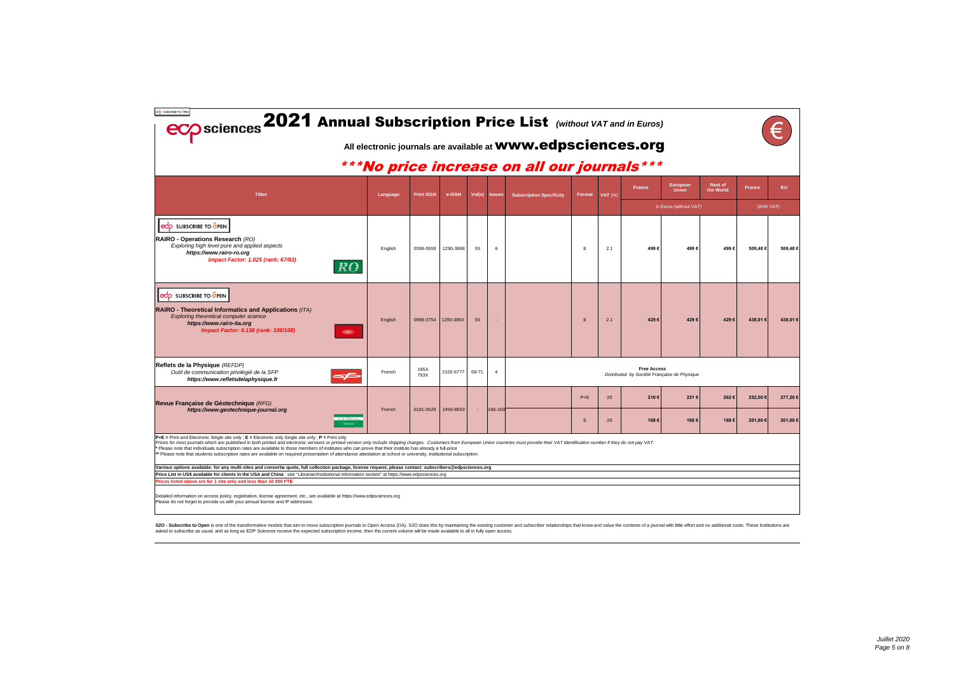| edp SUBSCRIBE TO GPEN<br>eco sciences 2021 Annual Subscription Price List (Without VAT and in Euros)                                                                                                                                                                                                                                                                                                                                                                                                                                                                                                                                                                               |          |                   |           |        |                |                                                                     |        |           |                    |                                              |                             |               |         |
|------------------------------------------------------------------------------------------------------------------------------------------------------------------------------------------------------------------------------------------------------------------------------------------------------------------------------------------------------------------------------------------------------------------------------------------------------------------------------------------------------------------------------------------------------------------------------------------------------------------------------------------------------------------------------------|----------|-------------------|-----------|--------|----------------|---------------------------------------------------------------------|--------|-----------|--------------------|----------------------------------------------|-----------------------------|---------------|---------|
|                                                                                                                                                                                                                                                                                                                                                                                                                                                                                                                                                                                                                                                                                    |          |                   |           |        |                | All electronic journals are available at <b>WWW.edpsciences.org</b> |        |           |                    |                                              |                             |               |         |
|                                                                                                                                                                                                                                                                                                                                                                                                                                                                                                                                                                                                                                                                                    |          |                   |           |        |                | ***No price increase on all our journals***                         |        |           |                    |                                              |                             |               |         |
| <b>Titles</b>                                                                                                                                                                                                                                                                                                                                                                                                                                                                                                                                                                                                                                                                      | Language | <b>Print ISSN</b> | e-ISSN    | Vol(s) | <b>Issues</b>  | <b>Subscription Specificity</b>                                     | Format | $VAT$ (%) | France             | European<br><b>Union</b>                     | <b>Rest of</b><br>the World | <b>France</b> | EU.     |
|                                                                                                                                                                                                                                                                                                                                                                                                                                                                                                                                                                                                                                                                                    |          |                   |           |        |                |                                                                     |        |           |                    | in Euros (without VAT)                       |                             | (With VAT)    |         |
| eCO SUBSCRIBE TO OPEN<br>RAIRO - Operations Research (RO)<br>Exploring high level pure and applied aspects<br>https://www.rairo-ro.org<br>Impact Factor: 1.025 (rank: 67/83)<br>RO                                                                                                                                                                                                                                                                                                                                                                                                                                                                                                 | English  | 0399-0559         | 1290-3868 | 55     | 6              |                                                                     | E      | 2.1       | 499€               | 499€                                         | 499€                        | 509,48€       | 509,48€ |
| edo SUBSCRIBE TO OPEN<br>RAIRO - Theoretical Informatics and Applications (ITA)<br>Exploring theoretical computer science<br>https://www.rairo-ita.org<br>Impact Factor: 0.138 (rank: 108/108)                                                                                                                                                                                                                                                                                                                                                                                                                                                                                     | English  | 0988-3754         | 1290-385X | 55     |                |                                                                     | E      | 2.1       | 429€               | 429€                                         | 429€                        | 438,01€       | 438,01€ |
| Reflets de la Physique (REFDP)<br>Outil de communication privilégié de la SFP<br>https://www.refletsdelaphysique.fr                                                                                                                                                                                                                                                                                                                                                                                                                                                                                                                                                                | French   | 1953-<br>793X     | 2102-6777 | 68-71  | $\overline{4}$ |                                                                     |        |           | <b>Free Access</b> | Distributed by Société Française de Physique |                             |               |         |
| Revue Française de Géotechnique (RFG)                                                                                                                                                                                                                                                                                                                                                                                                                                                                                                                                                                                                                                              |          |                   |           |        |                |                                                                     | $P+E$  | 20        | 210€               | 231€                                         | 262€                        | 252,00€       | 277,20€ |
| https://www.geotechnique-journal.org                                                                                                                                                                                                                                                                                                                                                                                                                                                                                                                                                                                                                                               | French   | 0181-0529         | 2493-8653 |        | 166-169        |                                                                     | E      | 20        | 168€               | 168€                                         | 168€                        | 201,60€       | 201.60€ |
| $P + E$ = Print and Electronic Single site only; $E$ = Electronic only Single site only; $P =$ Print only<br>Prices for most journals which are published in both printed and electronic versions or printed version only include shipping charges. Customers from European Union countries must provide their VAT identification number if<br>* Please note that individuals subscription rates are available to those members of institutes who can prove that their institute has already a full-price<br>** Please note that students subscription rates are available on required presentation of attendance attestation at school or university, institutional subscription. |          |                   |           |        |                |                                                                     |        |           |                    |                                              |                             |               |         |
| Various options available: for any multi-sites and consortia quote, full collection package, license request, please contact: subscribers@edpsciences.org                                                                                                                                                                                                                                                                                                                                                                                                                                                                                                                          |          |                   |           |        |                |                                                                     |        |           |                    |                                              |                             |               |         |
| Price List in US\$ available for clients in the USA and China : see "Librarian/Institutional Information section" at https://www.edpsciences.org<br>Prices listed above are for 1 site only and less than 10 000 FTE                                                                                                                                                                                                                                                                                                                                                                                                                                                               |          |                   |           |        |                |                                                                     |        |           |                    |                                              |                             |               |         |
| Detailed information on access policy, registration, license agreement, etc., are available at https://www.edpsciences.org<br>Please do not forget to provide us with your annual license and IP addresses.                                                                                                                                                                                                                                                                                                                                                                                                                                                                        |          |                   |           |        |                |                                                                     |        |           |                    |                                              |                             |               |         |

S2O - Subscribe to Open is one of the transformative models that aim to move subscription journals to Open Access (OA). S2O does this by maintaining the existing customer and subscriber relationships that know and value th

| $\mathbf{f}$<br>ŗ,           |               |         |  |  |  |  |  |  |  |  |  |
|------------------------------|---------------|---------|--|--|--|--|--|--|--|--|--|
| <b>Rest of<br/>the World</b> | <b>France</b> | EU.     |  |  |  |  |  |  |  |  |  |
|                              | (With VAT)    |         |  |  |  |  |  |  |  |  |  |
| 499€                         | 509,48€       | 509,48€ |  |  |  |  |  |  |  |  |  |
| 429€                         | 438,01€       | 438,01€ |  |  |  |  |  |  |  |  |  |
|                              |               |         |  |  |  |  |  |  |  |  |  |
| 262€                         | 252,00€       | 277,20€ |  |  |  |  |  |  |  |  |  |
| 168€                         | 201,60€       | 201,60€ |  |  |  |  |  |  |  |  |  |
|                              |               |         |  |  |  |  |  |  |  |  |  |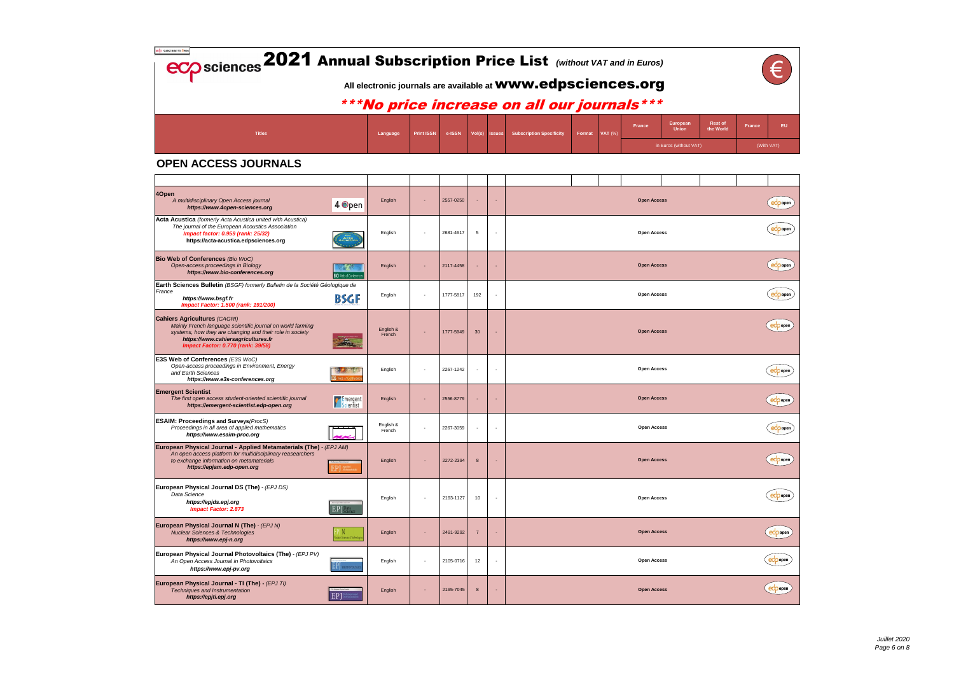| <b>ECO</b> sciences 2021 Annual Subscription Price List (without VAT and in Euros) |                                                                                                                                                                                                     |  |  |  |  |  |  |  |  |                        |        |            |  |  |  |  |  |
|------------------------------------------------------------------------------------|-----------------------------------------------------------------------------------------------------------------------------------------------------------------------------------------------------|--|--|--|--|--|--|--|--|------------------------|--------|------------|--|--|--|--|--|
|                                                                                    | All electronic journals are available at <b>WWW.edpsciences.org</b><br>***No price increase on all our journals***                                                                                  |  |  |  |  |  |  |  |  |                        |        |            |  |  |  |  |  |
| <b>Titles</b>                                                                      | <b>Rest of</b><br>European<br><b>France</b><br>the World<br><b>Union</b><br><b>Subscription Specificity</b><br><b>VAT (%)</b><br>e-ISSN<br>Vol(s) Issues<br><b>Print ISSN</b><br>Format<br>Language |  |  |  |  |  |  |  |  |                        | France |            |  |  |  |  |  |
|                                                                                    |                                                                                                                                                                                                     |  |  |  |  |  |  |  |  | in Euros (without VAT) |        | (With VAT) |  |  |  |  |  |

| <b>Rest of</b><br>the World | <b>France</b> | EU |
|-----------------------------|---------------|----|
|                             | (With VAT)    |    |

|  | $\epsilon$                       |
|--|----------------------------------|
|  | $\epsilon$                       |
|  | $\epsilon$                       |
|  | $\epsilon$                       |
|  | $\epsilon$                       |
|  | $\exp$ open                      |
|  | $\epsilon$                       |
|  | $\left(\frac{1}{2} \right)$ open |
|  | $\epsilon$                       |
|  | $e^{\phi}$ open                  |
|  | edpopen                          |
|  | $\epsilon$                       |
|  | $\epsilon$                       |

| 40pen<br>A multidisciplinary Open Access journal<br>4 Open<br>https://www.4open-sciences.org                                                                                                                                                     | English                    |        | 2557-0250 |                  | ×.                       |  | <b>Open Access</b> |  |
|--------------------------------------------------------------------------------------------------------------------------------------------------------------------------------------------------------------------------------------------------|----------------------------|--------|-----------|------------------|--------------------------|--|--------------------|--|
| Acta Acustica (formerly Acta Acustica united with Acustica)<br>The journal of the European Acoustics Association<br>Impact factor: 0.959 (rank: 25/32)<br>https://acta-acustica.edpsciences.org                                                  | English                    |        | 2681-4617 | 5                | $\overline{\phantom{a}}$ |  | <b>Open Access</b> |  |
| <b>Bio Web of Conferences (Bio WoC)</b><br>Open-access proceedings in Biology<br>https://www.bio-conferences.org<br><b>310</b> Web of Conference                                                                                                 | English                    |        | 2117-4458 |                  |                          |  | <b>Open Access</b> |  |
| Earth Sciences Bulletin (BSGF) formerly Bulletin de la Société Géologique de<br>France<br>BSGF<br>https://www.bsgf.fr<br>Impact Factor: 1.500 (rank: 191/200)                                                                                    | English                    |        | 1777-5817 | 192              | $\overline{\phantom{a}}$ |  | <b>Open Access</b> |  |
| <b>Cahiers Agricultures (CAGRI)</b><br>Mainly French language scientific journal on world farming<br>systems, how they are changing and their role in society<br>https://www.cahiersagricultures.fr<br><b>Impact Factor: 0.770 (rank: 39/58)</b> | English &<br>French        |        | 1777-5949 | 30               |                          |  | <b>Open Access</b> |  |
| <b>E3S Web of Conferences (E3S WoC)</b><br>Open-access proceedings in Environment, Energy<br>and Earth Sciences<br>https://www.e3s-conferences.org                                                                                               | English                    |        | 2267-1242 |                  | ÷,                       |  | <b>Open Access</b> |  |
| <b>Emergent Scientist</b><br>The first open access student-oriented scientific journal<br><b>F</b> Emergent<br>https://emergent-scientist.edp-open.org                                                                                           | English<br><b>Emergent</b> |        | 2556-8779 |                  | ÷.                       |  | <b>Open Access</b> |  |
| <b>ESAIM: Proceedings and Surveys (ProcS)</b><br>Proceedings in all area of applied mathematics<br>https://www.esaim-proc.org                                                                                                                    | English &<br>French        |        | 2267-3059 |                  | $\overline{\phantom{a}}$ |  | <b>Open Access</b> |  |
| European Physical Journal - Applied Metamaterials (The) - (EPJ AM)<br>An open access platform for multidisciplinary reasearchers<br>to exchange information on metamaterials<br>https://epjam.edp-open.org                                       | English                    |        | 2272-2394 | 8                |                          |  | <b>Open Access</b> |  |
| European Physical Journal DS (The) - (EPJ DS)<br>Data Science<br>https://epjds.epj.org<br><b>Impact Factor: 2.873</b>                                                                                                                            | English                    |        | 2193-1127 | 10               | $\overline{\phantom{a}}$ |  | <b>Open Access</b> |  |
| European Physical Journal N (The) - (EPJ N)<br><b>Nuclear Sciences &amp; Technologies</b><br>lear Sciences & Technologi<br>https://www.epj-n.org                                                                                                 | English                    |        | 2491-9292 | $\overline{7}$   |                          |  | <b>Open Access</b> |  |
| European Physical Journal Photovoltaics (The) - (EPJ PV)<br>An Open Access Journal in Photovoltaics<br>EPJ<br><b>IOTOVOLTA</b><br>https://www.epj-pv.org                                                                                         | English                    | $\sim$ | 2105-0716 | 12               | $\overline{\phantom{a}}$ |  | <b>Open Access</b> |  |
| European Physical Journal - TI (The) - (EPJ TI)<br>Techniques and Instrumentation<br>EP<br>https://epjti.epj.org                                                                                                                                 | English                    | ٠      | 2195-7045 | $\boldsymbol{8}$ |                          |  | <b>Open Access</b> |  |

## **OPEN ACCESS JOURNALS**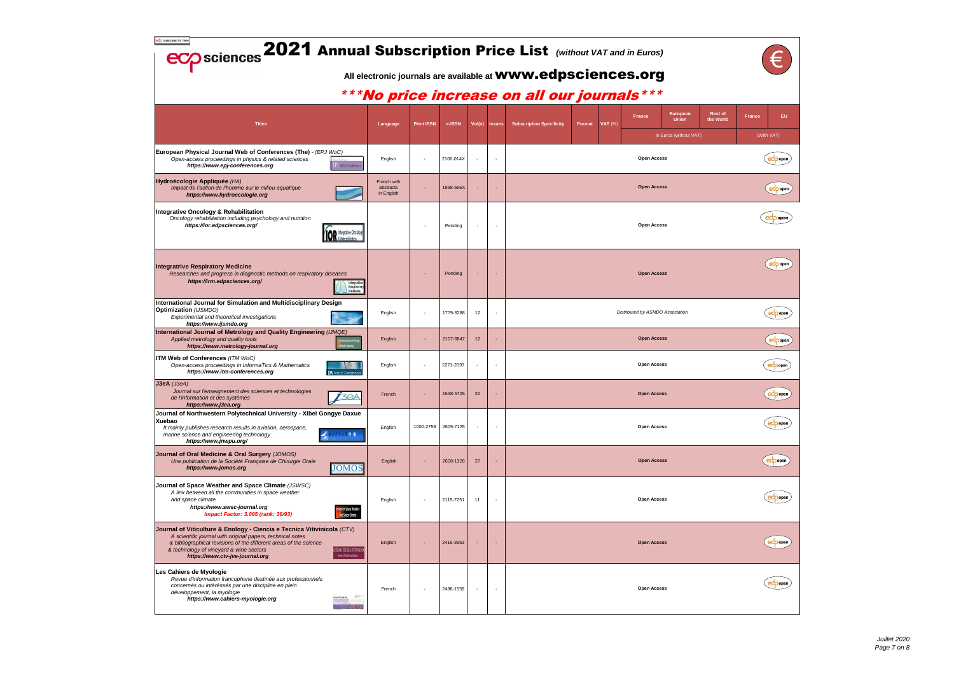| <b>Rest of</b><br>the World | <b>France</b> | EU         |
|-----------------------------|---------------|------------|
|                             |               | (With VAT) |
|                             |               | open       |
|                             |               | open       |
|                             |               | open       |

| $\bigcirc$                            |  |
|---------------------------------------|--|
| $\epsilon$                            |  |
| $ecopen$                              |  |
| $\epsilon$                            |  |
| $\left(\text{e}_{\text{open}}\right)$ |  |
| $\epsilon$                            |  |
| $\left(\text{e}^{\text{open}}\right)$ |  |
| $\epsilon$                            |  |
| $\epsilon$                            |  |
| $ec$ popen                            |  |

| edp SUBSCRIBE TO OPEN<br><b>ECO</b> sciences 2021 Annual Subscription Price List (Without VAT and in Euros)                                                                                                                                                                                                                                              |                                        |                   |                     |                          |                          |                                                                                                                      |        |                          |                                                    |                             | €                    |
|----------------------------------------------------------------------------------------------------------------------------------------------------------------------------------------------------------------------------------------------------------------------------------------------------------------------------------------------------------|----------------------------------------|-------------------|---------------------|--------------------------|--------------------------|----------------------------------------------------------------------------------------------------------------------|--------|--------------------------|----------------------------------------------------|-----------------------------|----------------------|
|                                                                                                                                                                                                                                                                                                                                                          |                                        |                   |                     |                          |                          | All electronic journals are available at <b>WWW.edpsciences.org</b><br>*** No price increase on all our journals *** |        |                          |                                                    |                             |                      |
| <b>Titles</b>                                                                                                                                                                                                                                                                                                                                            | Language                               | <b>Print ISSN</b> | e-ISSN              | Vol(s) Issues            |                          | <b>Subscription Specificity</b>                                                                                      | Format | France<br><b>VAT (%)</b> | European<br><b>Union</b><br>in Euros (without VAT) | <b>Rest of</b><br>the World | France<br>(With VAT) |
| European Physical Journal Web of Conferences (The) - (EPJ WoC)<br>Open-access proceedings in physics & related sciences<br>https://www.epj-conferences.org<br><b><i>D.</i></b> Web of Conference                                                                                                                                                         | English                                |                   | 2100-014X           | $\overline{\phantom{a}}$ | $\overline{\phantom{a}}$ |                                                                                                                      |        |                          | <b>Open Access</b>                                 |                             | $\exp$               |
| Hydroécologie Appliquée (HA)<br>Impact de l'action de l'homme sur le milieu aquatique<br>https://www.hydroecologie.org                                                                                                                                                                                                                                   | French with<br>abstracts<br>in English |                   | 1958-556X           |                          | ٠                        |                                                                                                                      |        |                          | <b>Open Access</b>                                 |                             | edp                  |
| Integrative Oncology & Rehabilitation<br>Oncology rehabilitation including psychology and nutrition<br>https://ior.edpsciences.org/<br>VIOR A Rehnhillinger                                                                                                                                                                                              |                                        |                   | Pending             |                          | $\sim$                   |                                                                                                                      |        |                          | <b>Open Access</b>                                 |                             | $e^{i\phi}$          |
| <b>Integratrive Respiratory Medicine</b><br>Researches and progress in diagnostic methods on respiratory diseases<br>https://irm.edpsciences.org/<br>Integrative<br><b>Respiratory</b><br>Medicine                                                                                                                                                       |                                        |                   | Pending             |                          |                          |                                                                                                                      |        |                          | <b>Open Access</b>                                 |                             | ecp                  |
| International Journal for Simulation and Multidisciplinary Design<br><b>Optimization</b> (IJSMDO)<br>Experimental and theoretical investigations<br>https://www.ijsmdo.org                                                                                                                                                                               | English                                |                   | 1779-6288           | 12                       | $\overline{\phantom{a}}$ |                                                                                                                      |        |                          | Distributed by ASMDO Association                   |                             | $e^{i\phi}$          |
| International Journal of Metrology and Quality Engineering (IJMQE)<br>Applied metrology and quality tools<br>teratoral korral of Netra<br><mark>A</mark> l Calify Expension<br>https://www.metrology-journal.org                                                                                                                                         | English                                |                   | 2107-6847           | 12                       | ÷,                       |                                                                                                                      |        |                          | <b>Open Access</b>                                 |                             | $\exp$               |
| <b>ITM Web of Conferences (ITM WoC)</b><br>Open-access proceedings in InformaTics & Mathematics<br>$\mathcal{K}$<br>https://www.itm-conferences.org<br><b>ITM</b> Web of Conference                                                                                                                                                                      | English                                |                   | 2271-2097           |                          | $\overline{\phantom{a}}$ |                                                                                                                      |        |                          | <b>Open Access</b>                                 |                             | $e^{i\phi}$          |
| $J3eA$ ( $J3eA$ )<br>Journal sur l'enseignement des sciences et technologies<br>T3PA<br>de l'information et des systemes<br>https://www.j3ea.org                                                                                                                                                                                                         | French                                 |                   | 1638-5705           | 20                       | ٠                        |                                                                                                                      |        |                          | <b>Open Access</b>                                 |                             | $\epsilon$           |
| Journal of Northwestern Polytechnical University - Xibei Gongye Daxue<br>Xuebao<br>It mainly publishes research results in aviation, aerospace,<br>リオス言学 报<br>marine science and engineering technology<br>https://www.jnwpu.org/                                                                                                                        | English                                |                   | 1000-2758 2609-7125 |                          | $\overline{\phantom{a}}$ |                                                                                                                      |        |                          | <b>Open Access</b>                                 |                             | $\exp$               |
| Journal of Oral Medicine & Oral Surgery (JOMOS)<br>Une publication de la Société Française de Chirurgie Orale<br><b>JOMOS</b><br>https://www.jomos.org                                                                                                                                                                                                   | English                                |                   | 2608-1326           | 27                       |                          |                                                                                                                      |        |                          | <b>Open Access</b>                                 |                             | e                    |
| Journal of Space Weather and Space Climate (JSWSC)<br>A link between all the communities in space weather<br>and space climate<br>https://www.swsc-journal.org<br>urnal of Space Weather<br>Impact Factor: 3.095 (rank: 36/93)<br>and Space Climate                                                                                                      | English                                |                   | 2115-7251           | 11                       | ٠                        |                                                                                                                      |        |                          | <b>Open Access</b>                                 |                             | $\exp$               |
| Journal of Viticulture & Enology - Ciencia e Tecnica Vitivinicola (CTV)<br>A scientific journal with original papers, technical notes<br>& bibliographical revisions of the different areas of the science<br>& technology of vineyard & wine sectors<br>CIÊNCIA E TÉCNICA VITIVINÍCOLA<br>[and of Printer ad Earlogs<br>https://www.ctv-jve-journal.org | English                                |                   | 2416-3953           |                          |                          |                                                                                                                      |        |                          | <b>Open Access</b>                                 |                             | edp                  |
| Les Cahiers de Myologie<br>Revue d'information francophone destinée aux professionnels<br>concernés ou intéréssés par une discipline en plein<br>développement, la myologie<br>https://www.cahiers-myologie.org                                                                                                                                          | French                                 |                   | 2496-1558           |                          | $\overline{\phantom{a}}$ |                                                                                                                      |        |                          | <b>Open Access</b>                                 |                             | $\exp$               |